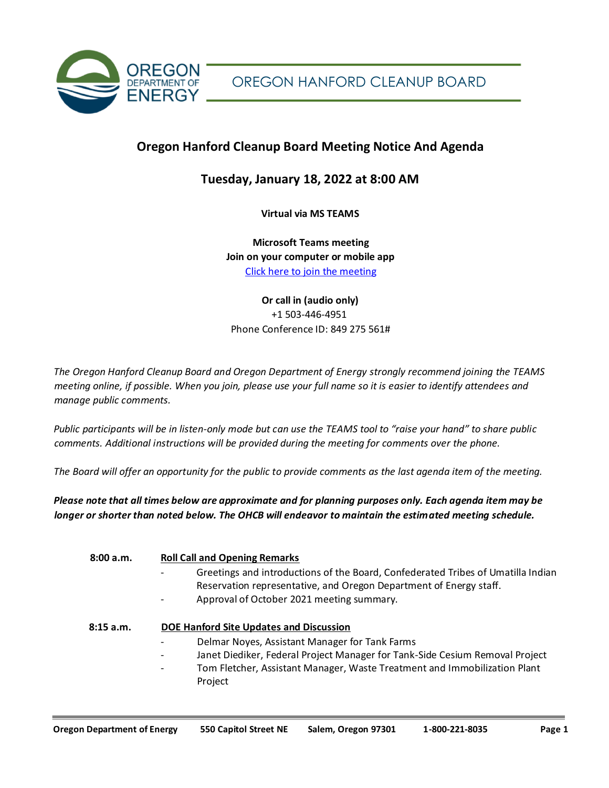

# **Oregon Hanford Cleanup Board Meeting Notice And Agenda**

# **Tuesday, January 18, 2022 at 8:00 AM**

**Virtual via MS TEAMS**

**Microsoft Teams meeting Join on your computer or mobile app** [Click here to join the meeting](https://teams.microsoft.com/l/meetup-join/19%3ameeting_ODM4MzczNmMtNjNiMS00YjI2LTk3M2ItZTZmYmYwNGM3OTJi%40thread.v2/0?context=%7b%22Tid%22%3a%22aa3f6932-fa7c-47b4-a0ce-a598cad161cf%22%2c%22Oid%22%3a%2264c6d8eb-5104-4494-9713-de342ec16c4c%22%7d)

# **Or call in (audio only)** [+1 503-446-4951](tel:+15034464951,,849275561# ) Phone Conference ID: 849 275 561#

*The Oregon Hanford Cleanup Board and Oregon Department of Energy strongly recommend joining the TEAMS meeting online, if possible. When you join, please use your full name so it is easier to identify attendees and manage public comments.* 

*Public participants will be in listen-only mode but can use the TEAMS tool to "raise your hand" to share public comments. Additional instructions will be provided during the meeting for comments over the phone.* 

*The Board will offer an opportunity for the public to provide comments as the last agenda item of the meeting.*

*Please note that all times below are approximate and for planning purposes only. Each agenda item may be longer or shorter than noted below. The OHCB will endeavor to maintain the estimated meeting schedule.* 

| 8:00 a.m. | <b>Roll Call and Opening Remarks</b><br>Greetings and introductions of the Board, Confederated Tribes of Umatilla Indian<br>Reservation representative, and Oregon Department of Energy staff.<br>Approval of October 2021 meeting summary.<br>-                         |
|-----------|--------------------------------------------------------------------------------------------------------------------------------------------------------------------------------------------------------------------------------------------------------------------------|
| 8:15a.m.  | <b>DOE Hanford Site Updates and Discussion</b><br>Delmar Noyes, Assistant Manager for Tank Farms<br>Janet Diediker, Federal Project Manager for Tank-Side Cesium Removal Project<br>Tom Fletcher, Assistant Manager, Waste Treatment and Immobilization Plant<br>Project |